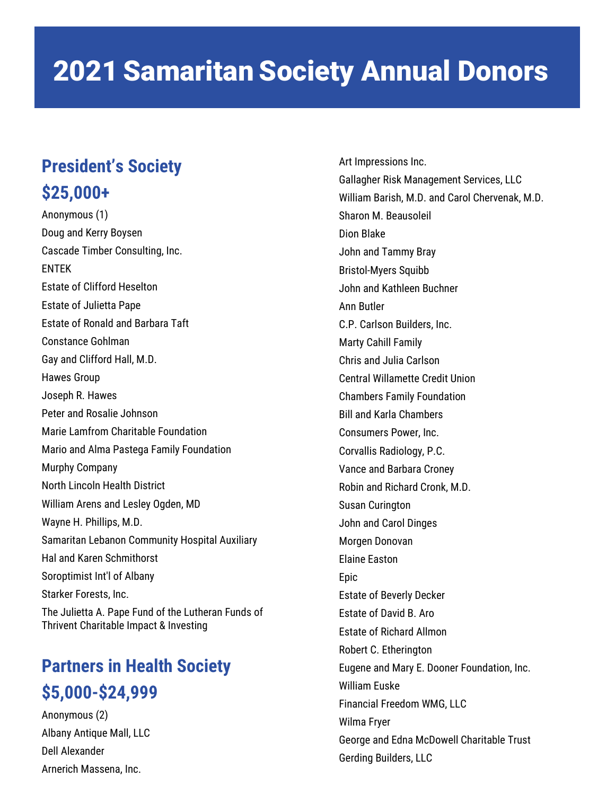#### **President's Society \$25,000+**

Anonymous (1) Doug and Kerry Boysen Cascade Timber Consulting, Inc. ENTEK Estate of Clifford Heselton Estate of Julietta Pape Estate of Ronald and Barbara Taft Constance Gohlman Gay and Clifford Hall, M.D. Hawes Group Joseph R. Hawes Peter and Rosalie Johnson Marie Lamfrom Charitable Foundation Mario and Alma Pastega Family Foundation Murphy Company North Lincoln Health District William Arens and Lesley Ogden, MD Wayne H. Phillips, M.D. Samaritan Lebanon Community Hospital Auxiliary Hal and Karen Schmithorst Soroptimist Int'l of Albany Starker Forests, Inc. The Julietta A. Pape Fund of the Lutheran Funds of Thrivent Charitable Impact & Investing

#### **Partners in Health Society \$5,000-\$24,999**

Anonymous (2) Albany Antique Mall, LLC Dell Alexander Arnerich Massena, Inc.

Art Impressions Inc. Gallagher Risk Management Services, LLC William Barish, M.D. and Carol Chervenak, M.D. Sharon M. Beausoleil Dion Blake John and Tammy Bray Bristol-Myers Squibb John and Kathleen Buchner Ann Butler C.P. Carlson Builders, Inc. Marty Cahill Family Chris and Julia Carlson Central Willamette Credit Union Chambers Family Foundation Bill and Karla Chambers Consumers Power, Inc. Corvallis Radiology, P.C. Vance and Barbara Croney Robin and Richard Cronk, M.D. Susan Curington John and Carol Dinges Morgen Donovan Elaine Easton Epic Estate of Beverly Decker Estate of David B. Aro Estate of Richard Allmon Robert C. Etherington Eugene and Mary E. Dooner Foundation, Inc. William Euske Financial Freedom WMG, LLC Wilma Fryer George and Edna McDowell Charitable Trust Gerding Builders, LLC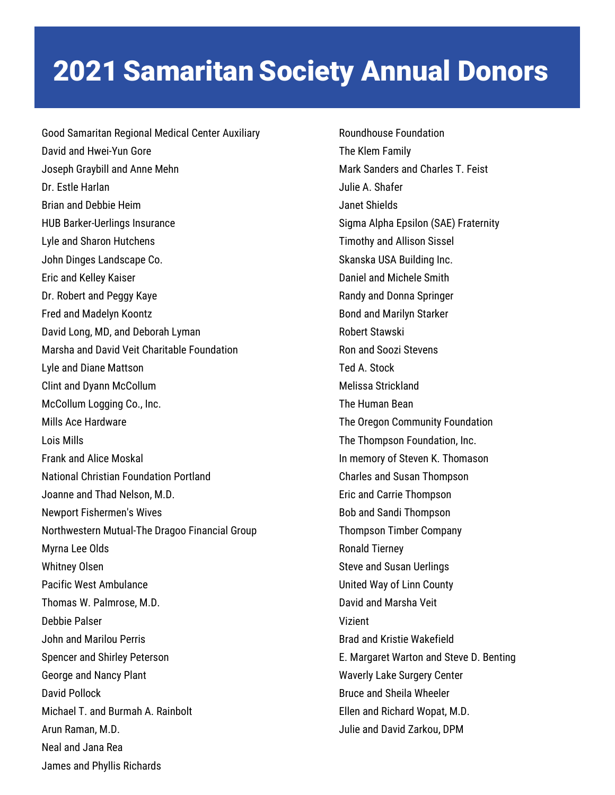Good Samaritan Regional Medical Center Auxiliary David and Hwei-Yun Gore Joseph Graybill and Anne Mehn Dr. Estle Harlan Brian and Debbie Heim HUB Barker-Uerlings Insurance Lyle and Sharon Hutchens John Dinges Landscape Co. Eric and Kelley Kaiser Dr. Robert and Peggy Kaye Fred and Madelyn Koontz David Long, MD, and Deborah Lyman Marsha and David Veit Charitable Foundation Lyle and Diane Mattson Clint and Dyann McCollum McCollum Logging Co., Inc. Mills Ace Hardware Lois Mills Frank and Alice Moskal National Christian Foundation Portland Joanne and Thad Nelson, M.D. Newport Fishermen's Wives Northwestern Mutual-The Dragoo Financial Group Myrna Lee Olds Whitney Olsen Pacific West Ambulance Thomas W. Palmrose, M.D. Debbie Palser John and Marilou Perris Spencer and Shirley Peterson George and Nancy Plant David Pollock Michael T. and Burmah A. Rainbolt Arun Raman, M.D. Neal and Jana Rea James and Phyllis Richards

Roundhouse Foundation The Klem Family Mark Sanders and Charles T. Feist Julie A. Shafer Janet Shields Sigma Alpha Epsilon (SAE) Fraternity Timothy and Allison Sissel Skanska USA Building Inc. Daniel and Michele Smith Randy and Donna Springer Bond and Marilyn Starker Robert Stawski Ron and Soozi Stevens Ted A. Stock Melissa Strickland The Human Bean The Oregon Community Foundation The Thompson Foundation, Inc. In memory of Steven K. Thomason Charles and Susan Thompson Eric and Carrie Thompson Bob and Sandi Thompson Thompson Timber Company Ronald Tierney Steve and Susan Uerlings United Way of Linn County David and Marsha Veit Vizient Brad and Kristie Wakefield E. Margaret Warton and Steve D. Benting Waverly Lake Surgery Center Bruce and Sheila Wheeler Ellen and Richard Wopat, M.D. Julie and David Zarkou, DPM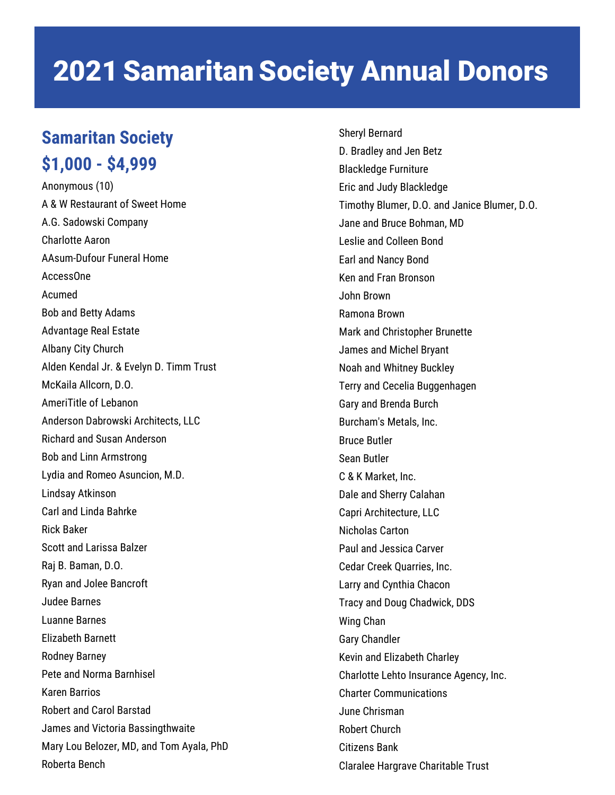#### **Samaritan Society \$1,000 - \$4,999**

Anonymous (10) A & W Restaurant of Sweet Home A.G. Sadowski Company Charlotte Aaron AAsum-Dufour Funeral Home AccessOne Acumed Bob and Betty Adams Advantage Real Estate Albany City Church Alden Kendal Jr. & Evelyn D. Timm Trust McKaila Allcorn, D.O. AmeriTitle of Lebanon Anderson Dabrowski Architects, LLC Richard and Susan Anderson Bob and Linn Armstrong Lydia and Romeo Asuncion, M.D. Lindsay Atkinson Carl and Linda Bahrke Rick Baker Scott and Larissa Balzer Raj B. Baman, D.O. Ryan and Jolee Bancroft Judee Barnes Luanne Barnes Elizabeth Barnett Rodney Barney Pete and Norma Barnhisel Karen Barrios Robert and Carol Barstad James and Victoria Bassingthwaite Mary Lou Belozer, MD, and Tom Ayala, PhD Roberta Bench

Sheryl Bernard D. Bradley and Jen Betz Blackledge Furniture Eric and Judy Blackledge Timothy Blumer, D.O. and Janice Blumer, D.O. Jane and Bruce Bohman, MD Leslie and Colleen Bond Earl and Nancy Bond Ken and Fran Bronson John Brown Ramona Brown Mark and Christopher Brunette James and Michel Bryant Noah and Whitney Buckley Terry and Cecelia Buggenhagen Gary and Brenda Burch Burcham's Metals, Inc. Bruce Butler Sean Butler C & K Market, Inc. Dale and Sherry Calahan Capri Architecture, LLC Nicholas Carton Paul and Jessica Carver Cedar Creek Quarries, Inc. Larry and Cynthia Chacon Tracy and Doug Chadwick, DDS Wing Chan Gary Chandler Kevin and Elizabeth Charley Charlotte Lehto Insurance Agency, Inc. Charter Communications June Chrisman Robert Church Citizens Bank Claralee Hargrave Charitable Trust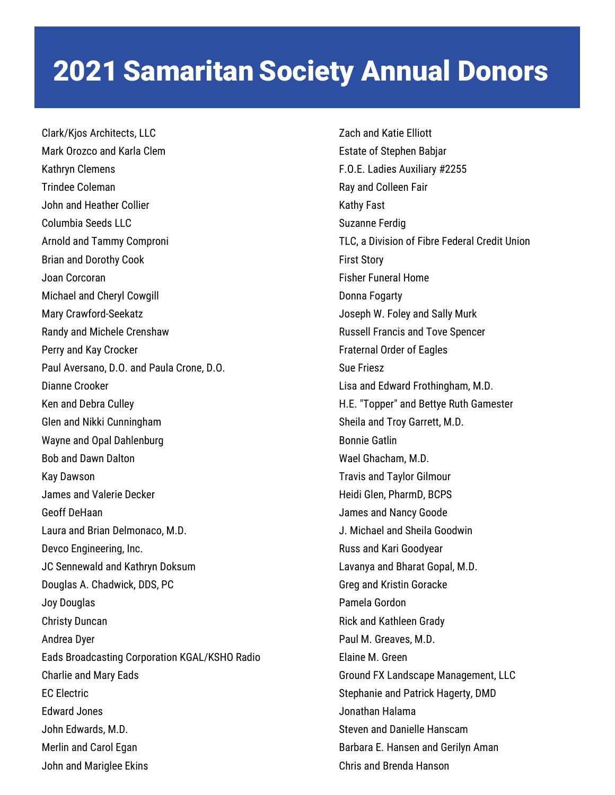Clark/Kjos Architects, LLC Mark Orozco and Karla Clem Kathryn Clemens Trindee Coleman John and Heather Collier Columbia Seeds LLC Arnold and Tammy Comproni Brian and Dorothy Cook Joan Corcoran Michael and Cheryl Cowgill Mary Crawford-Seekatz Randy and Michele Crenshaw Perry and Kay Crocker Paul Aversano, D.O. and Paula Crone, D.O. Dianne Crooker Ken and Debra Culley Glen and Nikki Cunningham Wayne and Opal Dahlenburg Bob and Dawn Dalton Kay Dawson James and Valerie Decker Geoff DeHaan Laura and Brian Delmonaco, M.D. Devco Engineering, Inc. JC Sennewald and Kathryn Doksum Douglas A. Chadwick, DDS, PC Joy Douglas Christy Duncan Andrea Dyer Eads Broadcasting Corporation KGAL/KSHO Radio Charlie and Mary Eads EC Electric Edward Jones John Edwards, M.D. Merlin and Carol Egan John and Mariglee Ekins

Zach and Katie Elliott Estate of Stephen Babjar F.O.E. Ladies Auxiliary #2255 Ray and Colleen Fair Kathy Fast Suzanne Ferdig TLC, a Division of Fibre Federal Credit Union First Story Fisher Funeral Home Donna Fogarty Joseph W. Foley and Sally Murk Russell Francis and Tove Spencer Fraternal Order of Eagles Sue Friesz Lisa and Edward Frothingham, M.D. H.E. "Topper" and Bettye Ruth Gamester Sheila and Troy Garrett, M.D. Bonnie Gatlin Wael Ghacham, M.D. Travis and Taylor Gilmour Heidi Glen, PharmD, BCPS James and Nancy Goode J. Michael and Sheila Goodwin Russ and Kari Goodyear Lavanya and Bharat Gopal, M.D. Greg and Kristin Goracke Pamela Gordon Rick and Kathleen Grady Paul M. Greaves, M.D. Elaine M. Green Ground FX Landscape Management, LLC Stephanie and Patrick Hagerty, DMD Jonathan Halama Steven and Danielle Hanscam Barbara E. Hansen and Gerilyn Aman Chris and Brenda Hanson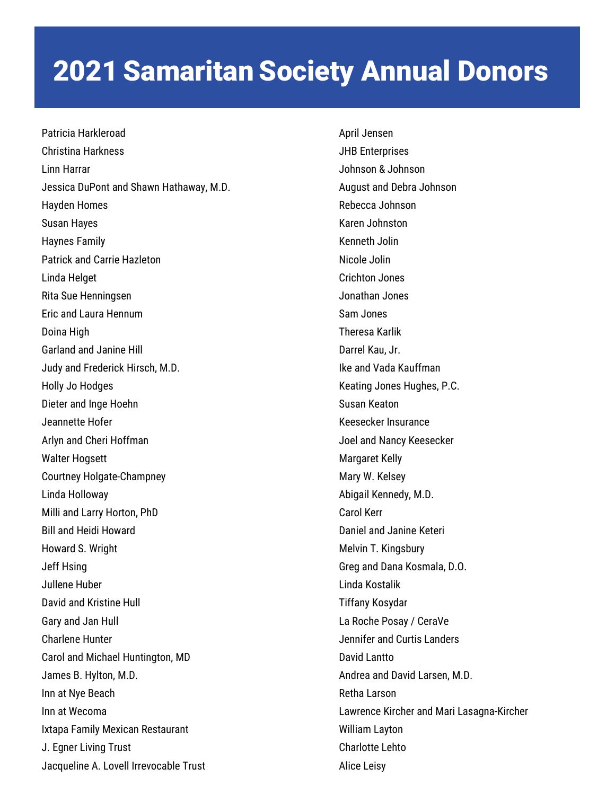Patricia Harkleroad Christina Harkness Linn Harrar Jessica DuPont and Shawn Hathaway, M.D. Hayden Homes Susan Hayes Haynes Family Patrick and Carrie Hazleton Linda Helget Rita Sue Henningsen Eric and Laura Hennum Doina High Garland and Janine Hill Judy and Frederick Hirsch, M.D. Holly Jo Hodges Dieter and Inge Hoehn Jeannette Hofer Arlyn and Cheri Hoffman Walter Hogsett Courtney Holgate-Champney Linda Holloway Milli and Larry Horton, PhD Bill and Heidi Howard Howard S. Wright Jeff Hsing Jullene Huber David and Kristine Hull Gary and Jan Hull Charlene Hunter Carol and Michael Huntington, MD James B. Hylton, M.D. Inn at Nye Beach Inn at Wecoma Ixtapa Family Mexican Restaurant J. Egner Living Trust Jacqueline A. Lovell Irrevocable Trust

April Jensen JHB Enterprises Johnson & Johnson August and Debra Johnson Rebecca Johnson Karen Johnston Kenneth Jolin Nicole Jolin Crichton Jones Jonathan Jones Sam Jones Theresa Karlik Darrel Kau, Jr. Ike and Vada Kauffman Keating Jones Hughes, P.C. Susan Keaton Keesecker Insurance Joel and Nancy Keesecker Margaret Kelly Mary W. Kelsey Abigail Kennedy, M.D. Carol Kerr Daniel and Janine Keteri Melvin T. Kingsbury Greg and Dana Kosmala, D.O. Linda Kostalik Tiffany Kosydar La Roche Posay / CeraVe Jennifer and Curtis Landers David Lantto Andrea and David Larsen, M.D. Retha Larson Lawrence Kircher and Mari Lasagna-Kircher William Layton Charlotte Lehto Alice Leisy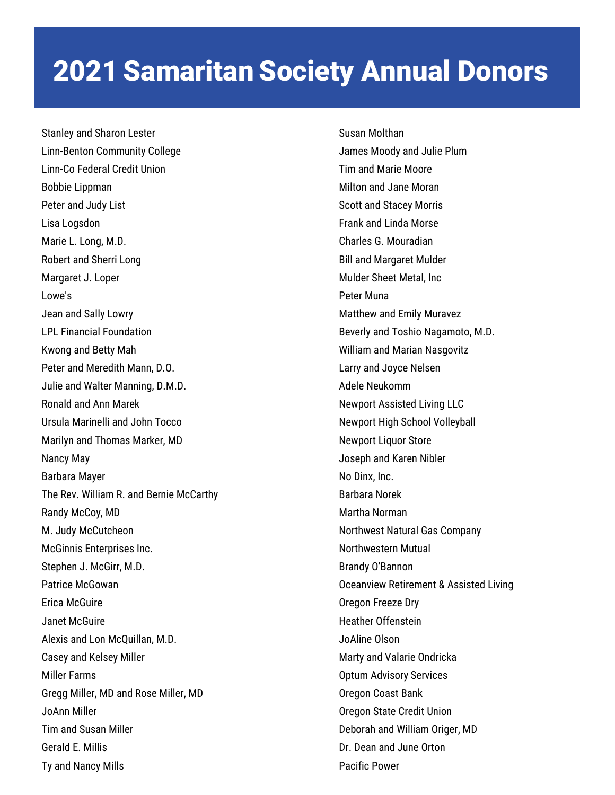Stanley and Sharon Lester Linn-Benton Community College Linn-Co Federal Credit Union Bobbie Lippman Peter and Judy List Lisa Logsdon Marie L. Long, M.D. Robert and Sherri Long Margaret J. Loper Lowe's Jean and Sally Lowry LPL Financial Foundation Kwong and Betty Mah Peter and Meredith Mann, D.O. Julie and Walter Manning, D.M.D. Ronald and Ann Marek Ursula Marinelli and John Tocco Marilyn and Thomas Marker, MD Nancy May Barbara Mayer The Rev. William R. and Bernie McCarthy Randy McCoy, MD M. Judy McCutcheon McGinnis Enterprises Inc. Stephen J. McGirr, M.D. Patrice McGowan Erica McGuire Janet McGuire Alexis and Lon McQuillan, M.D. Casey and Kelsey Miller Miller Farms Gregg Miller, MD and Rose Miller, MD JoAnn Miller Tim and Susan Miller Gerald E. Millis Ty and Nancy Mills

Susan Molthan James Moody and Julie Plum Tim and Marie Moore Milton and Jane Moran Scott and Stacey Morris Frank and Linda Morse Charles G. Mouradian Bill and Margaret Mulder Mulder Sheet Metal, Inc Peter Muna Matthew and Emily Muravez Beverly and Toshio Nagamoto, M.D. William and Marian Nasgovitz Larry and Joyce Nelsen Adele Neukomm Newport Assisted Living LLC Newport High School Volleyball Newport Liquor Store Joseph and Karen Nibler No Dinx, Inc. Barbara Norek Martha Norman Northwest Natural Gas Company Northwestern Mutual Brandy O'Bannon Oceanview Retirement & Assisted Living Oregon Freeze Dry Heather Offenstein JoAline Olson Marty and Valarie Ondricka Optum Advisory Services Oregon Coast Bank Oregon State Credit Union Deborah and William Origer, MD Dr. Dean and June Orton Pacific Power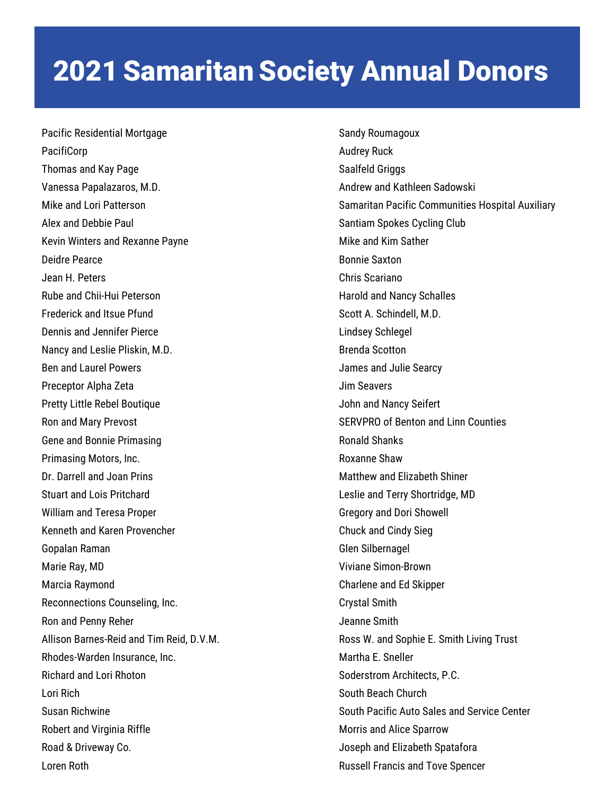Pacific Residential Mortgage PacifiCorp Thomas and Kay Page Vanessa Papalazaros, M.D. Mike and Lori Patterson Alex and Debbie Paul Kevin Winters and Rexanne Payne Deidre Pearce Jean H. Peters Rube and Chii-Hui Peterson Frederick and Itsue Pfund Dennis and Jennifer Pierce Nancy and Leslie Pliskin, M.D. Ben and Laurel Powers Preceptor Alpha Zeta Pretty Little Rebel Boutique Ron and Mary Prevost Gene and Bonnie Primasing Primasing Motors, Inc. Dr. Darrell and Joan Prins Stuart and Lois Pritchard William and Teresa Proper Kenneth and Karen Provencher Gopalan Raman Marie Ray, MD Marcia Raymond Reconnections Counseling, Inc. Ron and Penny Reher Allison Barnes-Reid and Tim Reid, D.V.M. Rhodes-Warden Insurance, Inc. Richard and Lori Rhoton Lori Rich Susan Richwine Robert and Virginia Riffle Road & Driveway Co. Loren Roth

Sandy Roumagoux Audrey Ruck Saalfeld Griggs Andrew and Kathleen Sadowski Samaritan Pacific Communities Hospital Auxiliary Santiam Spokes Cycling Club Mike and Kim Sather Bonnie Saxton Chris Scariano Harold and Nancy Schalles Scott A. Schindell, M.D. Lindsey Schlegel Brenda Scotton James and Julie Searcy Jim Seavers John and Nancy Seifert SERVPRO of Benton and Linn Counties Ronald Shanks Roxanne Shaw Matthew and Elizabeth Shiner Leslie and Terry Shortridge, MD Gregory and Dori Showell Chuck and Cindy Sieg Glen Silbernagel Viviane Simon-Brown Charlene and Ed Skipper Crystal Smith Jeanne Smith Ross W. and Sophie E. Smith Living Trust Martha E. Sneller Soderstrom Architects, P.C. South Beach Church South Pacific Auto Sales and Service Center Morris and Alice Sparrow Joseph and Elizabeth Spatafora Russell Francis and Tove Spencer